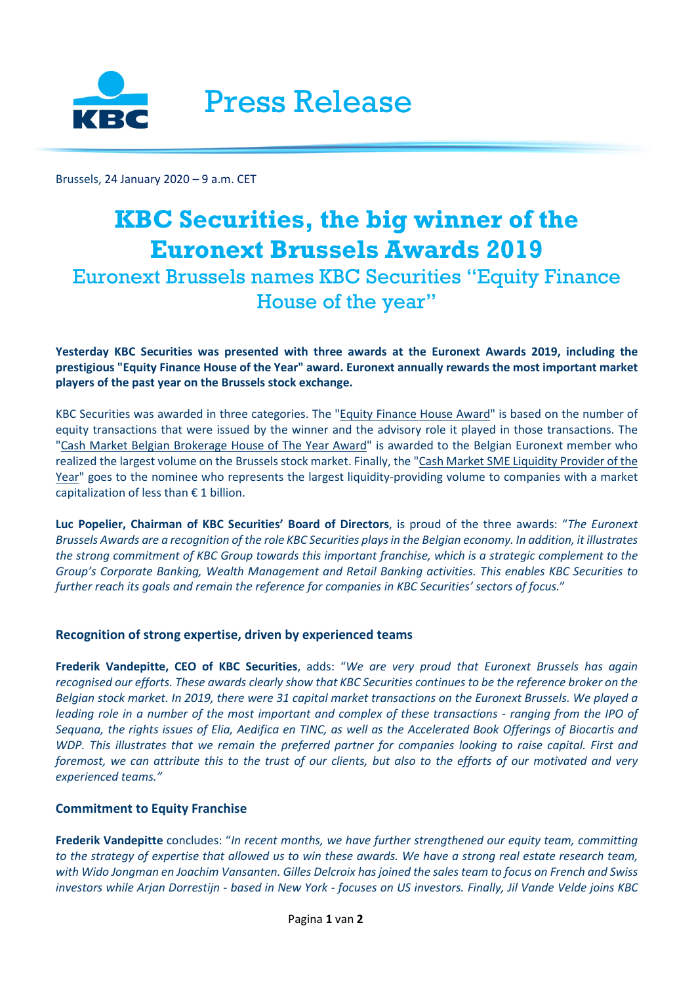

Brussels, 24 January 2020 – 9 a.m. CET

# **KBC Securities, the big winner of the Euronext Brussels Awards 2019** Euronext Brussels names KBC Securities "Equity Finance House of the year"

## **Yesterday KBC Securities was presented with three awards at the Euronext Awards 2019, including the prestigious "Equity Finance House of the Year" award. Euronext annually rewards the most important market players of the past year on the Brussels stock exchange.**

KBC Securities was awarded in three categories. The "Equity Finance House Award" is based on the number of equity transactions that were issued by the winner and the advisory role it played in those transactions. The "Cash Market Belgian Brokerage House of The Year Award" is awarded to the Belgian Euronext member who realized the largest volume on the Brussels stock market. Finally, the "Cash Market SME Liquidity Provider of the Year" goes to the nominee who represents the largest liquidity-providing volume to companies with a market capitalization of less than  $\epsilon$  1 billion.

**Luc Popelier, Chairman of KBC Securities' Board of Directors**, is proud of the three awards: "*The Euronext Brussels Awards are a recognition of the role KBC Securities plays in the Belgian economy. In addition, it illustrates the strong commitment of KBC Group towards this important franchise, which is a strategic complement to the Group's Corporate Banking, Wealth Management and Retail Banking activities. This enables KBC Securities to further reach its goals and remain the reference for companies in KBC Securities' sectors of focus.*"

# **Recognition of strong expertise, driven by experienced teams**

**Frederik Vandepitte, CEO of KBC Securities**, adds: "*We are very proud that Euronext Brussels has again recognised our efforts. These awards clearly show that KBC Securities continues to be the reference broker on the Belgian stock market. In 2019, there were 31 capital market transactions on the Euronext Brussels. We played a leading role in a number of the most important and complex of these transactions - ranging from the IPO of Sequana, the rights issues of Elia, Aedifica en TINC, as well as the Accelerated Book Offerings of Biocartis and WDP. This illustrates that we remain the preferred partner for companies looking to raise capital. First and foremost, we can attribute this to the trust of our clients, but also to the efforts of our motivated and very experienced teams."*

## **Commitment to Equity Franchise**

**Frederik Vandepitte** concludes: "*In recent months, we have further strengthened our equity team, committing to the strategy of expertise that allowed us to win these awards. We have a strong real estate research team, with Wido Jongman en Joachim Vansanten. Gilles Delcroix has joined the sales team to focus on French and Swiss investors while Arjan Dorrestijn - based in New York - focuses on US investors. Finally, Jil Vande Velde joins KBC*